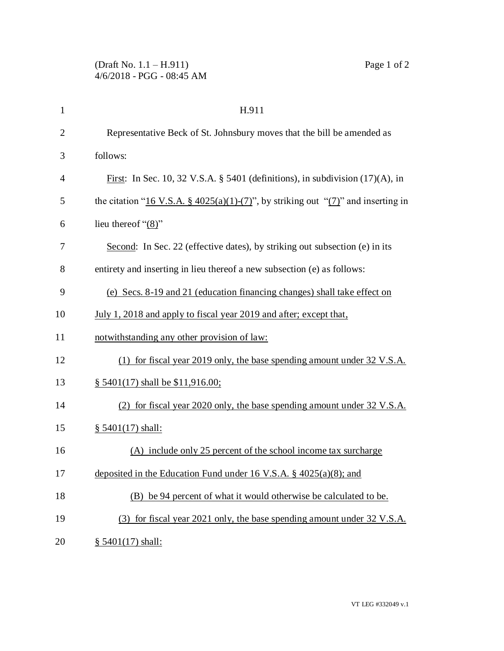| $\mathbf{1}$   | H.911                                                                                 |
|----------------|---------------------------------------------------------------------------------------|
| $\overline{2}$ | Representative Beck of St. Johnsbury moves that the bill be amended as                |
| 3              | follows:                                                                              |
| $\overline{4}$ | First: In Sec. 10, 32 V.S.A. § 5401 (definitions), in subdivision $(17)(A)$ , in      |
| 5              | the citation "16 V.S.A. § 4025(a)(1)-(7)", by striking out " $(7)$ " and inserting in |
| 6              | lieu thereof " $(8)$ "                                                                |
| 7              | Second: In Sec. 22 (effective dates), by striking out subsection (e) in its           |
| 8              | entirety and inserting in lieu thereof a new subsection (e) as follows:               |
| 9              | (e) Secs. 8-19 and 21 (education financing changes) shall take effect on              |
| 10             | July 1, 2018 and apply to fiscal year 2019 and after; except that,                    |
| 11             | notwithstanding any other provision of law:                                           |
| 12             | (1) for fiscal year 2019 only, the base spending amount under 32 V.S.A.               |
| 13             | $§$ 5401(17) shall be \$11,916.00;                                                    |
| 14             | (2) for fiscal year 2020 only, the base spending amount under 32 V.S.A.               |
| 15             | § 5401(17) shall:                                                                     |
| 16             | (A) include only 25 percent of the school income tax surcharge                        |
| 17             | deposited in the Education Fund under 16 V.S.A. $\S$ 4025(a)(8); and                  |
| 18             | (B) be 94 percent of what it would otherwise be calculated to be.                     |
| 19             | (3) for fiscal year 2021 only, the base spending amount under 32 V.S.A.               |
| 20             | $§ 5401(17)$ shall:                                                                   |